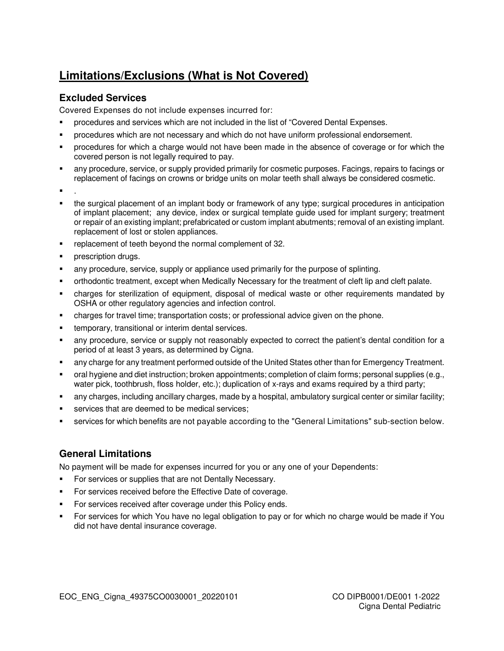## **Limitations/Exclusions (What is Not Covered)**

## **Excluded Services**

Covered Expenses do not include expenses incurred for:

- procedures and services which are not included in the list of "Covered Dental Expenses.
- procedures which are not necessary and which do not have uniform professional endorsement.
- procedures for which a charge would not have been made in the absence of coverage or for which the covered person is not legally required to pay.
- any procedure, service, or supply provided primarily for cosmetic purposes. Facings, repairs to facings or replacement of facings on crowns or bridge units on molar teeth shall always be considered cosmetic.
- .
- the surgical placement of an implant body or framework of any type; surgical procedures in anticipation of implant placement; any device, index or surgical template guide used for implant surgery; treatment or repair of an existing implant; prefabricated or custom implant abutments; removal of an existing implant. replacement of lost or stolen appliances.
- replacement of teeth beyond the normal complement of 32.
- prescription drugs.
- any procedure, service, supply or appliance used primarily for the purpose of splinting.
- orthodontic treatment, except when Medically Necessary for the treatment of cleft lip and cleft palate.
- charges for sterilization of equipment, disposal of medical waste or other requirements mandated by OSHA or other regulatory agencies and infection control.
- charges for travel time; transportation costs; or professional advice given on the phone.
- **temporary, transitional or interim dental services.**
- any procedure, service or supply not reasonably expected to correct the patient's dental condition for a period of at least 3 years, as determined by Cigna.
- any charge for any treatment performed outside of the United States other than for Emergency Treatment.
- oral hygiene and diet instruction; broken appointments; completion of claim forms; personal supplies (e.g., water pick, toothbrush, floss holder, etc.); duplication of x-rays and exams required by a third party;
- any charges, including ancillary charges, made by a hospital, ambulatory surgical center or similar facility;
- services that are deemed to be medical services;
- services for which benefits are not payable according to the "General Limitations" sub-section below.

## **General Limitations**

No payment will be made for expenses incurred for you or any one of your Dependents:

- For services or supplies that are not Dentally Necessary.
- **For services received before the Effective Date of coverage.**
- For services received after coverage under this Policy ends.
- For services for which You have no legal obligation to pay or for which no charge would be made if You did not have dental insurance coverage.